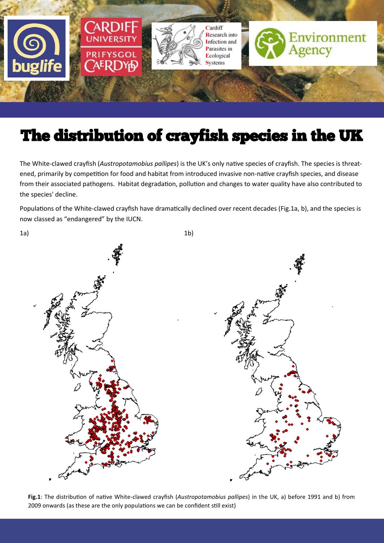

# The distribution of crayfish species in the UK

The White-clawed crayfish (*Austropotamobius pallipes*) is the UK's only native species of crayfish. The species is threatened, primarily by competition for food and habitat from introduced invasive non-native crayfish species, and disease from their associated pathogens. Habitat degradation, pollution and changes to water quality have also contributed to the species' decline.

Populations of the White-clawed crayfish have dramatically declined over recent decades (Fig.1a, b), and the species is now classed as "endangered" by the IUCN.



**Fig.1**: The distribution of native White-clawed crayfish (*Austropotamobius pallipes*) in the UK, a) before 1991 and b) from 2009 onwards (as these are the only populations we can be confident still exist)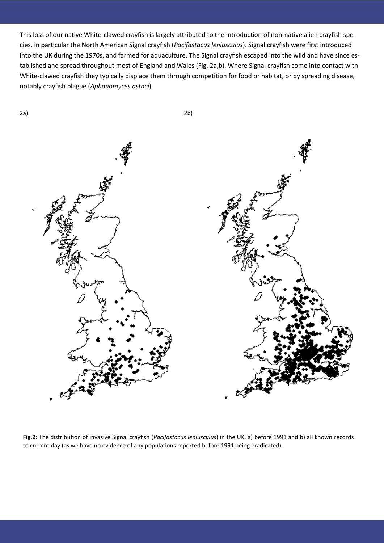This loss of our native White-clawed crayfish is largely attributed to the introduction of non-native alien crayfish species, in particular the North American Signal crayfish (*Pacifastacus leniusculus*). Signal crayfish were first introduced into the UK during the 1970s, and farmed for aquaculture. The Signal crayfish escaped into the wild and have since established and spread throughout most of England and Wales (Fig. 2a,b). Where Signal crayfish come into contact with White-clawed crayfish they typically displace them through competition for food or habitat, or by spreading disease, notably crayfish plague (*Aphanomyces astaci*).



**Fig.2**: The distribution of invasive Signal crayfish (*Pacifastacus leniusculus*) in the UK, a) before 1991 and b) all known records to current day (as we have no evidence of any populations reported before 1991 being eradicated).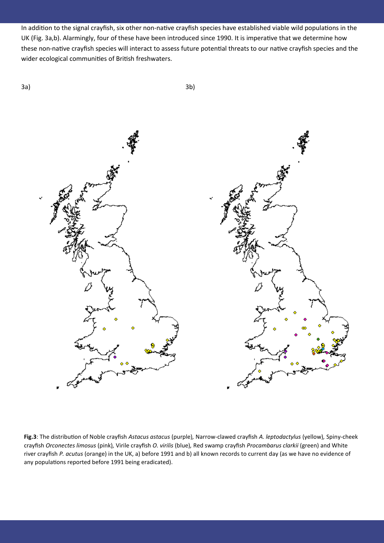In addition to the signal crayfish, six other non-native crayfish species have established viable wild populations in the UK (Fig. 3a,b). Alarmingly, four of these have been introduced since 1990. It is imperative that we determine how these non-native crayfish species will interact to assess future potential threats to our native crayfish species and the wider ecological communities of British freshwaters.



**Fig.3**: The distribution of Noble crayfish *Astacus astacus* (purple)*,* Narrow-clawed crayfish *A. leptodactylus* (yellow)*,* Spiny-cheek crayfish *Orconectes limosus* (pink)*,* Virile crayfish *O. virilis* (blue)*,* Red swamp crayfish *Procambarus clarkii* (green) and White river crayfish *P. acutus* (orange) in the UK, a) before 1991 and b) all known records to current day (as we have no evidence of any populations reported before 1991 being eradicated).